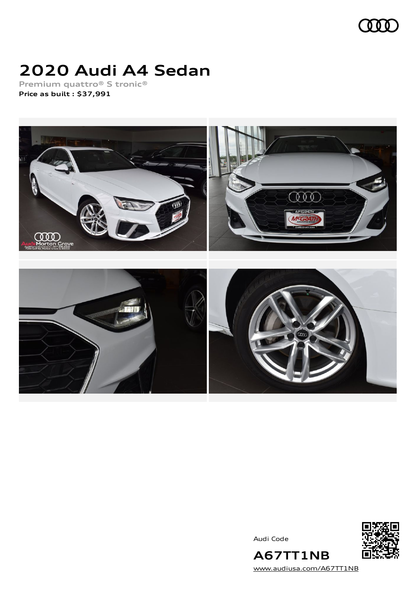

## **2020 Audi A4 Sedan**

**Premium quattro® S tronic® Price as built [:](#page-7-0) \$37,991**



Audi Code



[www.audiusa.com/A67TT1NB](https://www.audiusa.com/A67TT1NB)

**A67TT1NB**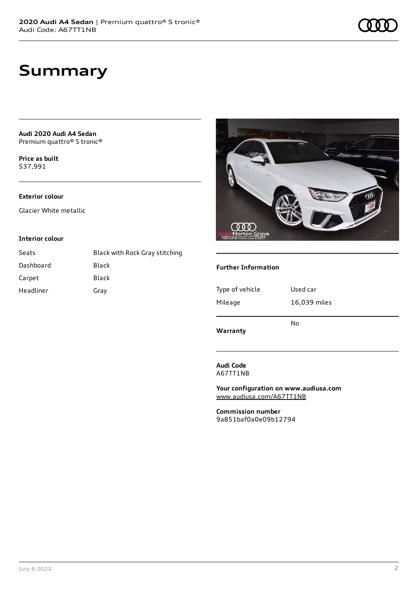**Audi 2020 Audi A4 Sedan** Premium quattro® S tronic®

**Price as buil[t](#page-7-0)** \$37,991

#### **Exterior colour**

Glacier White metallic

#### **Interior colour**

| Seats     | Black with Rock Gray stitching |
|-----------|--------------------------------|
| Dashboard | Black                          |
| Carpet    | Black                          |
| Headliner | Gray                           |



#### **Further Information**

| Type of vehicle | Used car     |
|-----------------|--------------|
| Mileage         | 16,039 miles |
| Warranty        | No           |

**Audi Code** A67TT1NB

**Your configuration on www.audiusa.com** [www.audiusa.com/A67TT1NB](https://www.audiusa.com/A67TT1NB)

**Commission number** 9a851baf0a0e09b12794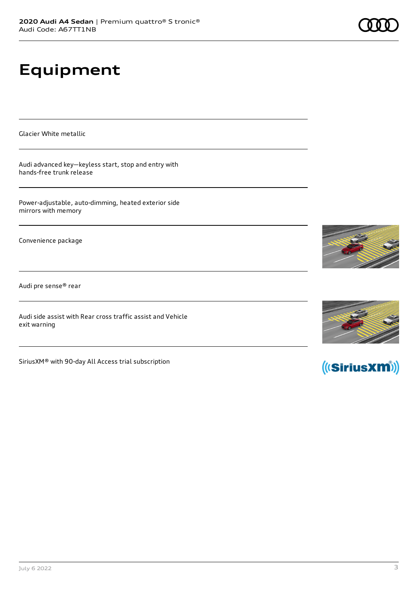# **Equipment**

Glacier White metallic

Audi advanced key—keyless start, stop and entry with hands-free trunk release

Power-adjustable, auto-dimming, heated exterior side mirrors with memory

Convenience package

Audi pre sense® rear

Audi side assist with Rear cross traffic assist and Vehicle exit warning

SiriusXM® with 90-day All Access trial subscription







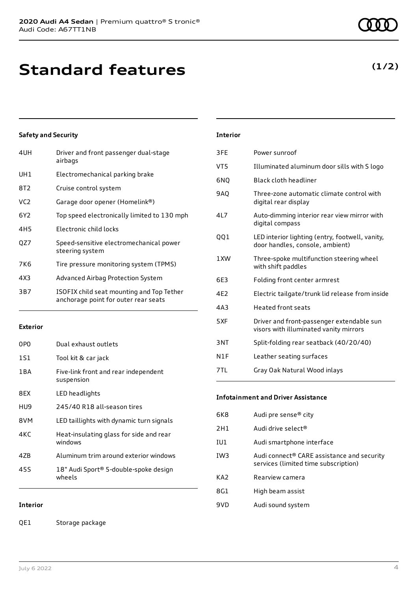## **Standard features**

#### **Safety and Security**

| 4UH             | Driver and front passenger dual-stage<br>airbags                                  |
|-----------------|-----------------------------------------------------------------------------------|
| UH1             | Electromechanical parking brake                                                   |
| 8T2             | Cruise control system                                                             |
| VC2             | Garage door opener (Homelink®)                                                    |
| 6Y2             | Top speed electronically limited to 130 mph                                       |
| 4H <sub>5</sub> | Electronic child locks                                                            |
| QZ7             | Speed-sensitive electromechanical power<br>steering system                        |
| 7K6             | Tire pressure monitoring system (TPMS)                                            |
| 4X3             | Advanced Airbag Protection System                                                 |
| 3B7             | ISOFIX child seat mounting and Top Tether<br>anchorage point for outer rear seats |
|                 |                                                                                   |

#### **Exterior**

| 0PO   | Dual exhaust outlets                               |
|-------|----------------------------------------------------|
| 1S1   | Tool kit & car jack                                |
| 1 B A | Five-link front and rear independent<br>suspension |
| 8FX   | LED headlights                                     |
| HU9   | 245/40 R18 all-season tires                        |
| 8VM   | LED taillights with dynamic turn signals           |
| 4KC   | Heat-insulating glass for side and rear<br>windows |
| 47B   | Aluminum trim around exterior windows              |
| 45S   | 18" Audi Sport® 5-double-spoke design<br>wheels    |

#### **Interior**

QE1 Storage package

### **Interior**

| 3FE             | Power sunroof                                                                       |
|-----------------|-------------------------------------------------------------------------------------|
| VT <sub>5</sub> | Illuminated aluminum door sills with S logo                                         |
| 6NO             | Black cloth headliner                                                               |
| <b>9AQ</b>      | Three-zone automatic climate control with<br>digital rear display                   |
| 4L7             | Auto-dimming interior rear view mirror with<br>digital compass                      |
| 001             | LED interior lighting (entry, footwell, vanity,<br>door handles, console, ambient)  |
| 1 XW            | Three-spoke multifunction steering wheel<br>with shift paddles                      |
| 6E3             | Folding front center armrest                                                        |
| 4E2             | Electric tailgate/trunk lid release from inside                                     |
| 4A3             | Heated front seats                                                                  |
| 5XF             | Driver and front-passenger extendable sun<br>visors with illuminated vanity mirrors |
| 3NT             | Split-folding rear seatback (40/20/40)                                              |
| N1F             | Leather seating surfaces                                                            |
| 7TL             | Gray Oak Natural Wood inlays                                                        |

#### **Infotainment and Driver Assistance**

| 6K8             | Audi pre sense <sup>®</sup> city                                                               |
|-----------------|------------------------------------------------------------------------------------------------|
| 2H1             | Audi drive select <sup>®</sup>                                                                 |
| IU1             | Audi smartphone interface                                                                      |
| IW <sub>3</sub> | Audi connect <sup>®</sup> CARE assistance and security<br>services (limited time subscription) |
| KA <sub>2</sub> | Rearview camera                                                                                |
| 8G1             | High beam assist                                                                               |
| 9VD             | Audi sound system                                                                              |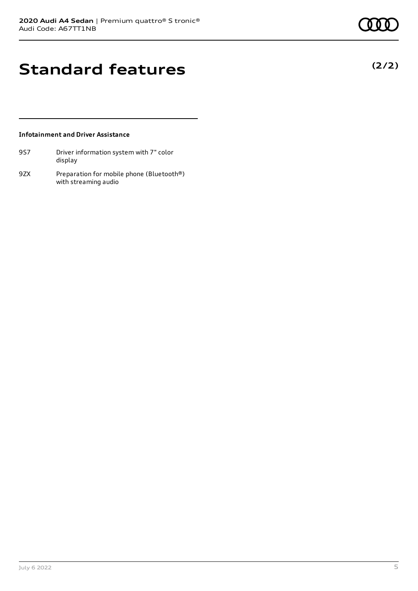**(2/2)**

## **Standard features**

#### **Infotainment and Driver Assistance**

| 9S7 | Driver information system with 7" color |
|-----|-----------------------------------------|
|     | display                                 |

9ZX Preparation for mobile phone (Bluetooth®) with streaming audio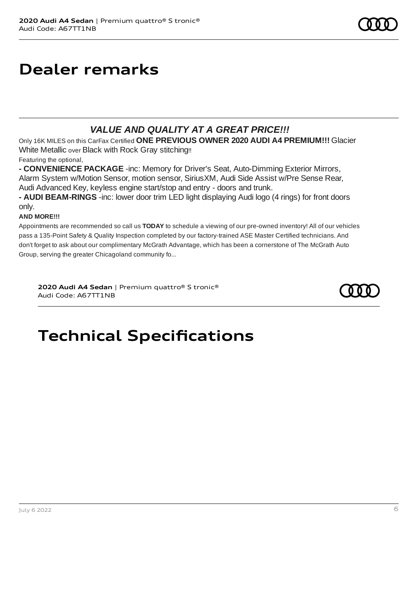### **Dealer remarks**

### *VALUE AND QUALITY AT A GREAT PRICE!!!*

Only 16K MILES on this CarFax Certified **ONE PREVIOUS OWNER 2020 AUDI A4 PREMIUM!!!** Glacier White Metallic over Black with Rock Gray stitching!!

Featuring the optional,

**- CONVENIENCE PACKAGE** -inc: Memory for Driver's Seat, Auto-Dimming Exterior Mirrors, Alarm System w/Motion Sensor, motion sensor, SiriusXM, Audi Side Assist w/Pre Sense Rear, Audi Advanced Key, keyless engine start/stop and entry - doors and trunk.

**- AUDI BEAM-RINGS** -inc: lower door trim LED light displaying Audi logo (4 rings) for front doors only.

#### **AND MORE!!!**

Appointments are recommended so call us **TODAY** to schedule a viewing of our pre-owned inventory! All of our vehicles pass a 135-Point Safety & Quality Inspection completed by our factory-trained ASE Master Certified technicians. And don't forget to ask about our complimentary McGrath Advantage, which has been a cornerstone of The McGrath Auto Group, serving the greater Chicagoland community fo...

**2020 Audi A4 Sedan** | Premium quattro® S tronic® Audi Code: A67TT1NB



# **Technical Specifications**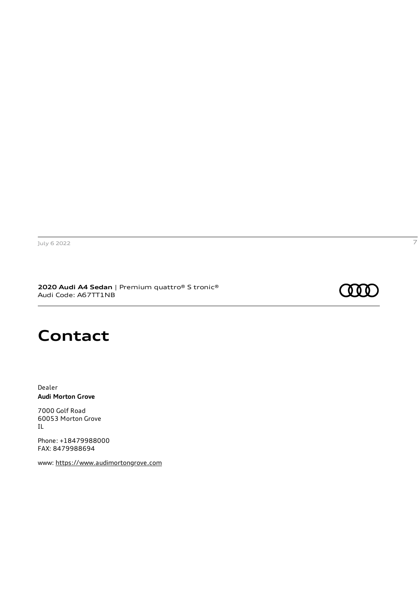**2020 Audi A4 Sedan** | Premium quattro® S tronic® Audi Code: A67TT1NB

### 000 :

### **Contact**

Dealer **Audi Morton Grove**

7000 Golf Road 60053 Morton Grove IL

Phone: +18479988000 FAX: 8479988694

www: [https://www.audimortongrove.com](https://www.audimortongrove.com/)